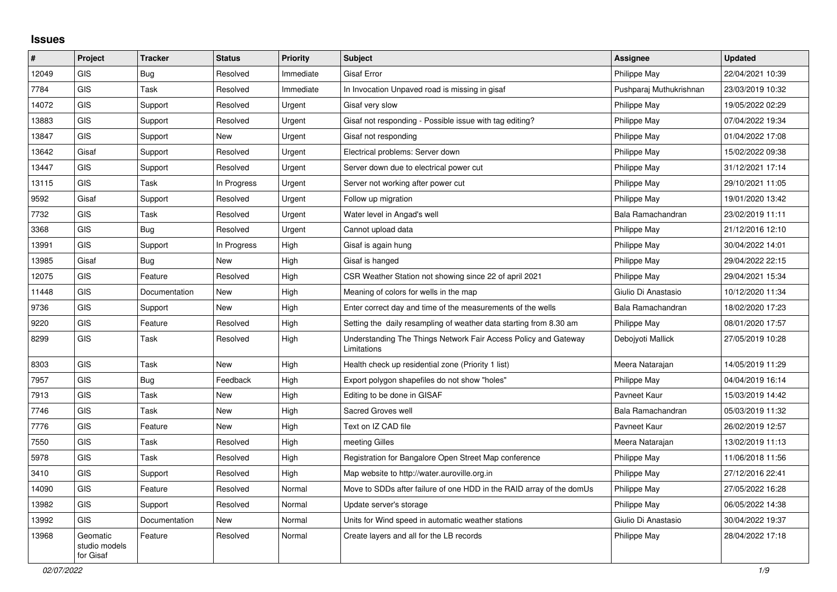## **Issues**

| $\vert$ # | Project                                | <b>Tracker</b> | <b>Status</b> | <b>Priority</b> | <b>Subject</b>                                                                 | Assignee                | <b>Updated</b>   |
|-----------|----------------------------------------|----------------|---------------|-----------------|--------------------------------------------------------------------------------|-------------------------|------------------|
| 12049     | GIS                                    | <b>Bug</b>     | Resolved      | Immediate       | <b>Gisaf Error</b>                                                             | Philippe May            | 22/04/2021 10:39 |
| 7784      | GIS                                    | Task           | Resolved      | Immediate       | In Invocation Unpaved road is missing in gisaf                                 | Pushparaj Muthukrishnan | 23/03/2019 10:32 |
| 14072     | <b>GIS</b>                             | Support        | Resolved      | Urgent          | Gisaf very slow                                                                | Philippe May            | 19/05/2022 02:29 |
| 13883     | GIS                                    | Support        | Resolved      | Urgent          | Gisaf not responding - Possible issue with tag editing?                        | Philippe May            | 07/04/2022 19:34 |
| 13847     | <b>GIS</b>                             | Support        | New           | Urgent          | Gisaf not responding                                                           | Philippe May            | 01/04/2022 17:08 |
| 13642     | Gisaf                                  | Support        | Resolved      | Urgent          | Electrical problems: Server down                                               | Philippe May            | 15/02/2022 09:38 |
| 13447     | GIS                                    | Support        | Resolved      | Urgent          | Server down due to electrical power cut                                        | Philippe May            | 31/12/2021 17:14 |
| 13115     | <b>GIS</b>                             | Task           | In Progress   | Urgent          | Server not working after power cut                                             | Philippe May            | 29/10/2021 11:05 |
| 9592      | Gisaf                                  | Support        | Resolved      | Urgent          | Follow up migration                                                            | Philippe May            | 19/01/2020 13:42 |
| 7732      | <b>GIS</b>                             | Task           | Resolved      | Urgent          | Water level in Angad's well                                                    | Bala Ramachandran       | 23/02/2019 11:11 |
| 3368      | <b>GIS</b>                             | Bug            | Resolved      | Urgent          | Cannot upload data                                                             | Philippe May            | 21/12/2016 12:10 |
| 13991     | <b>GIS</b>                             | Support        | In Progress   | High            | Gisaf is again hung                                                            | Philippe May            | 30/04/2022 14:01 |
| 13985     | Gisaf                                  | <b>Bug</b>     | New           | High            | Gisaf is hanged                                                                | Philippe May            | 29/04/2022 22:15 |
| 12075     | GIS                                    | Feature        | Resolved      | High            | CSR Weather Station not showing since 22 of april 2021                         | Philippe May            | 29/04/2021 15:34 |
| 11448     | <b>GIS</b>                             | Documentation  | <b>New</b>    | High            | Meaning of colors for wells in the map                                         | Giulio Di Anastasio     | 10/12/2020 11:34 |
| 9736      | GIS                                    | Support        | New           | High            | Enter correct day and time of the measurements of the wells                    | Bala Ramachandran       | 18/02/2020 17:23 |
| 9220      | GIS                                    | Feature        | Resolved      | High            | Setting the daily resampling of weather data starting from 8.30 am             | Philippe May            | 08/01/2020 17:57 |
| 8299      | <b>GIS</b>                             | Task           | Resolved      | High            | Understanding The Things Network Fair Access Policy and Gateway<br>Limitations | Debojyoti Mallick       | 27/05/2019 10:28 |
| 8303      | <b>GIS</b>                             | Task           | New           | High            | Health check up residential zone (Priority 1 list)                             | Meera Natarajan         | 14/05/2019 11:29 |
| 7957      | GIS                                    | Bug            | Feedback      | High            | Export polygon shapefiles do not show "holes"                                  | Philippe May            | 04/04/2019 16:14 |
| 7913      | <b>GIS</b>                             | Task           | New           | High            | Editing to be done in GISAF                                                    | Pavneet Kaur            | 15/03/2019 14:42 |
| 7746      | <b>GIS</b>                             | Task           | New           | High            | Sacred Groves well                                                             | Bala Ramachandran       | 05/03/2019 11:32 |
| 7776      | <b>GIS</b>                             | Feature        | New           | High            | Text on IZ CAD file                                                            | Pavneet Kaur            | 26/02/2019 12:57 |
| 7550      | <b>GIS</b>                             | Task           | Resolved      | High            | meeting Gilles                                                                 | Meera Natarajan         | 13/02/2019 11:13 |
| 5978      | GIS                                    | Task           | Resolved      | High            | Registration for Bangalore Open Street Map conference                          | Philippe May            | 11/06/2018 11:56 |
| 3410      | GIS                                    | Support        | Resolved      | High            | Map website to http://water.auroville.org.in                                   | Philippe May            | 27/12/2016 22:41 |
| 14090     | GIS                                    | Feature        | Resolved      | Normal          | Move to SDDs after failure of one HDD in the RAID array of the domUs           | Philippe May            | 27/05/2022 16:28 |
| 13982     | <b>GIS</b>                             | Support        | Resolved      | Normal          | Update server's storage                                                        | Philippe May            | 06/05/2022 14:38 |
| 13992     | GIS                                    | Documentation  | <b>New</b>    | Normal          | Units for Wind speed in automatic weather stations                             | Giulio Di Anastasio     | 30/04/2022 19:37 |
| 13968     | Geomatic<br>studio models<br>for Gisaf | Feature        | Resolved      | Normal          | Create layers and all for the LB records                                       | Philippe May            | 28/04/2022 17:18 |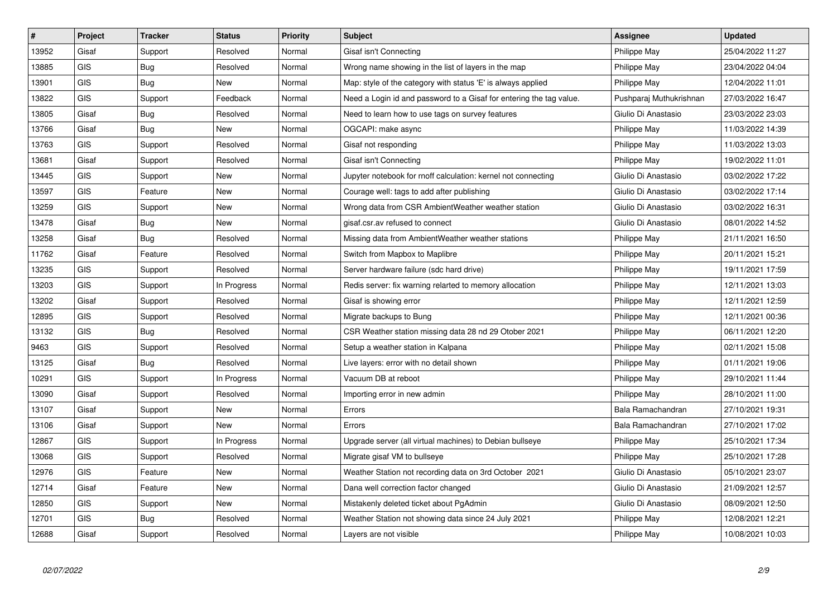| #     | Project    | <b>Tracker</b> | <b>Status</b> | Priority | <b>Subject</b>                                                      | Assignee                | <b>Updated</b>   |
|-------|------------|----------------|---------------|----------|---------------------------------------------------------------------|-------------------------|------------------|
| 13952 | Gisaf      | Support        | Resolved      | Normal   | Gisaf isn't Connecting                                              | Philippe May            | 25/04/2022 11:27 |
| 13885 | <b>GIS</b> | <b>Bug</b>     | Resolved      | Normal   | Wrong name showing in the list of layers in the map                 | Philippe May            | 23/04/2022 04:04 |
| 13901 | <b>GIS</b> | Bug            | New           | Normal   | Map: style of the category with status 'E' is always applied        | Philippe May            | 12/04/2022 11:01 |
| 13822 | <b>GIS</b> | Support        | Feedback      | Normal   | Need a Login id and password to a Gisaf for entering the tag value. | Pushparaj Muthukrishnan | 27/03/2022 16:47 |
| 13805 | Gisaf      | Bug            | Resolved      | Normal   | Need to learn how to use tags on survey features                    | Giulio Di Anastasio     | 23/03/2022 23:03 |
| 13766 | Gisaf      | <b>Bug</b>     | <b>New</b>    | Normal   | OGCAPI: make async                                                  | Philippe May            | 11/03/2022 14:39 |
| 13763 | <b>GIS</b> | Support        | Resolved      | Normal   | Gisaf not responding                                                | Philippe May            | 11/03/2022 13:03 |
| 13681 | Gisaf      | Support        | Resolved      | Normal   | Gisaf isn't Connecting                                              | Philippe May            | 19/02/2022 11:01 |
| 13445 | <b>GIS</b> | Support        | <b>New</b>    | Normal   | Jupyter notebook for rnoff calculation: kernel not connecting       | Giulio Di Anastasio     | 03/02/2022 17:22 |
| 13597 | <b>GIS</b> | Feature        | New           | Normal   | Courage well: tags to add after publishing                          | Giulio Di Anastasio     | 03/02/2022 17:14 |
| 13259 | GIS        | Support        | <b>New</b>    | Normal   | Wrong data from CSR AmbientWeather weather station                  | Giulio Di Anastasio     | 03/02/2022 16:31 |
| 13478 | Gisaf      | Bug            | <b>New</b>    | Normal   | gisaf.csr.av refused to connect                                     | Giulio Di Anastasio     | 08/01/2022 14:52 |
| 13258 | Gisaf      | <b>Bug</b>     | Resolved      | Normal   | Missing data from AmbientWeather weather stations                   | Philippe May            | 21/11/2021 16:50 |
| 11762 | Gisaf      | Feature        | Resolved      | Normal   | Switch from Mapbox to Maplibre                                      | Philippe May            | 20/11/2021 15:21 |
| 13235 | <b>GIS</b> | Support        | Resolved      | Normal   | Server hardware failure (sdc hard drive)                            | Philippe May            | 19/11/2021 17:59 |
| 13203 | <b>GIS</b> | Support        | In Progress   | Normal   | Redis server: fix warning relarted to memory allocation             | Philippe May            | 12/11/2021 13:03 |
| 13202 | Gisaf      | Support        | Resolved      | Normal   | Gisaf is showing error                                              | Philippe May            | 12/11/2021 12:59 |
| 12895 | <b>GIS</b> | Support        | Resolved      | Normal   | Migrate backups to Bung                                             | Philippe May            | 12/11/2021 00:36 |
| 13132 | <b>GIS</b> | Bug            | Resolved      | Normal   | CSR Weather station missing data 28 nd 29 Otober 2021               | Philippe May            | 06/11/2021 12:20 |
| 9463  | <b>GIS</b> | Support        | Resolved      | Normal   | Setup a weather station in Kalpana                                  | Philippe May            | 02/11/2021 15:08 |
| 13125 | Gisaf      | <b>Bug</b>     | Resolved      | Normal   | Live layers: error with no detail shown                             | Philippe May            | 01/11/2021 19:06 |
| 10291 | <b>GIS</b> | Support        | In Progress   | Normal   | Vacuum DB at reboot                                                 | Philippe May            | 29/10/2021 11:44 |
| 13090 | Gisaf      | Support        | Resolved      | Normal   | Importing error in new admin                                        | Philippe May            | 28/10/2021 11:00 |
| 13107 | Gisaf      | Support        | <b>New</b>    | Normal   | Errors                                                              | Bala Ramachandran       | 27/10/2021 19:31 |
| 13106 | Gisaf      | Support        | <b>New</b>    | Normal   | Errors                                                              | Bala Ramachandran       | 27/10/2021 17:02 |
| 12867 | GIS        | Support        | In Progress   | Normal   | Upgrade server (all virtual machines) to Debian bullseye            | Philippe May            | 25/10/2021 17:34 |
| 13068 | <b>GIS</b> | Support        | Resolved      | Normal   | Migrate gisaf VM to bullseye                                        | Philippe May            | 25/10/2021 17:28 |
| 12976 | <b>GIS</b> | Feature        | <b>New</b>    | Normal   | Weather Station not recording data on 3rd October 2021              | Giulio Di Anastasio     | 05/10/2021 23:07 |
| 12714 | Gisaf      | Feature        | New           | Normal   | Dana well correction factor changed                                 | Giulio Di Anastasio     | 21/09/2021 12:57 |
| 12850 | <b>GIS</b> | Support        | New           | Normal   | Mistakenly deleted ticket about PgAdmin                             | Giulio Di Anastasio     | 08/09/2021 12:50 |
| 12701 | <b>GIS</b> | <b>Bug</b>     | Resolved      | Normal   | Weather Station not showing data since 24 July 2021                 | Philippe May            | 12/08/2021 12:21 |
| 12688 | Gisaf      | Support        | Resolved      | Normal   | Lavers are not visible                                              | Philippe May            | 10/08/2021 10:03 |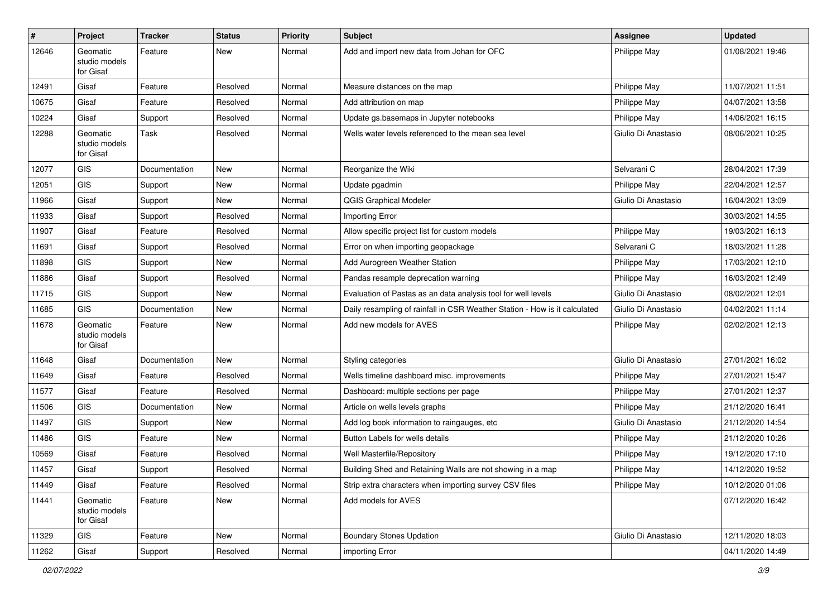| $\vert$ # | Project                                | <b>Tracker</b> | <b>Status</b> | <b>Priority</b> | <b>Subject</b>                                                             | <b>Assignee</b>     | <b>Updated</b>   |
|-----------|----------------------------------------|----------------|---------------|-----------------|----------------------------------------------------------------------------|---------------------|------------------|
| 12646     | Geomatic<br>studio models<br>for Gisaf | Feature        | New           | Normal          | Add and import new data from Johan for OFC                                 | Philippe May        | 01/08/2021 19:46 |
| 12491     | Gisaf                                  | Feature        | Resolved      | Normal          | Measure distances on the map                                               | Philippe May        | 11/07/2021 11:51 |
| 10675     | Gisaf                                  | Feature        | Resolved      | Normal          | Add attribution on map                                                     | Philippe May        | 04/07/2021 13:58 |
| 10224     | Gisaf                                  | Support        | Resolved      | Normal          | Update gs.basemaps in Jupyter notebooks                                    | Philippe May        | 14/06/2021 16:15 |
| 12288     | Geomatic<br>studio models<br>for Gisaf | Task           | Resolved      | Normal          | Wells water levels referenced to the mean sea level                        | Giulio Di Anastasio | 08/06/2021 10:25 |
| 12077     | GIS                                    | Documentation  | New           | Normal          | Reorganize the Wiki                                                        | Selvarani C         | 28/04/2021 17:39 |
| 12051     | <b>GIS</b>                             | Support        | New           | Normal          | Update pgadmin                                                             | Philippe May        | 22/04/2021 12:57 |
| 11966     | Gisaf                                  | Support        | <b>New</b>    | Normal          | <b>QGIS Graphical Modeler</b>                                              | Giulio Di Anastasio | 16/04/2021 13:09 |
| 11933     | Gisaf                                  | Support        | Resolved      | Normal          | Importing Error                                                            |                     | 30/03/2021 14:55 |
| 11907     | Gisaf                                  | Feature        | Resolved      | Normal          | Allow specific project list for custom models                              | Philippe May        | 19/03/2021 16:13 |
| 11691     | Gisaf                                  | Support        | Resolved      | Normal          | Error on when importing geopackage                                         | Selvarani C         | 18/03/2021 11:28 |
| 11898     | <b>GIS</b>                             | Support        | New           | Normal          | Add Aurogreen Weather Station                                              | Philippe May        | 17/03/2021 12:10 |
| 11886     | Gisaf                                  | Support        | Resolved      | Normal          | Pandas resample deprecation warning                                        | Philippe May        | 16/03/2021 12:49 |
| 11715     | <b>GIS</b>                             | Support        | <b>New</b>    | Normal          | Evaluation of Pastas as an data analysis tool for well levels              | Giulio Di Anastasio | 08/02/2021 12:01 |
| 11685     | <b>GIS</b>                             | Documentation  | New           | Normal          | Daily resampling of rainfall in CSR Weather Station - How is it calculated | Giulio Di Anastasio | 04/02/2021 11:14 |
| 11678     | Geomatic<br>studio models<br>for Gisaf | Feature        | <b>New</b>    | Normal          | Add new models for AVES                                                    | Philippe May        | 02/02/2021 12:13 |
| 11648     | Gisaf                                  | Documentation  | <b>New</b>    | Normal          | Styling categories                                                         | Giulio Di Anastasio | 27/01/2021 16:02 |
| 11649     | Gisaf                                  | Feature        | Resolved      | Normal          | Wells timeline dashboard misc. improvements                                | Philippe May        | 27/01/2021 15:47 |
| 11577     | Gisaf                                  | Feature        | Resolved      | Normal          | Dashboard: multiple sections per page                                      | Philippe May        | 27/01/2021 12:37 |
| 11506     | <b>GIS</b>                             | Documentation  | New           | Normal          | Article on wells levels graphs                                             | Philippe May        | 21/12/2020 16:41 |
| 11497     | <b>GIS</b>                             | Support        | New           | Normal          | Add log book information to raingauges, etc.                               | Giulio Di Anastasio | 21/12/2020 14:54 |
| 11486     | GIS                                    | Feature        | New           | Normal          | Button Labels for wells details                                            | Philippe May        | 21/12/2020 10:26 |
| 10569     | Gisaf                                  | Feature        | Resolved      | Normal          | Well Masterfile/Repository                                                 | Philippe May        | 19/12/2020 17:10 |
| 11457     | Gisaf                                  | Support        | Resolved      | Normal          | Building Shed and Retaining Walls are not showing in a map                 | Philippe May        | 14/12/2020 19:52 |
| 11449     | Gisaf                                  | Feature        | Resolved      | Normal          | Strip extra characters when importing survey CSV files                     | Philippe May        | 10/12/2020 01:06 |
| 11441     | Geomatic<br>studio models<br>for Gisaf | Feature        | New           | Normal          | Add models for AVES                                                        |                     | 07/12/2020 16:42 |
| 11329     | GIS                                    | Feature        | New           | Normal          | <b>Boundary Stones Updation</b>                                            | Giulio Di Anastasio | 12/11/2020 18:03 |
| 11262     | Gisaf                                  | Support        | Resolved      | Normal          | importing Error                                                            |                     | 04/11/2020 14:49 |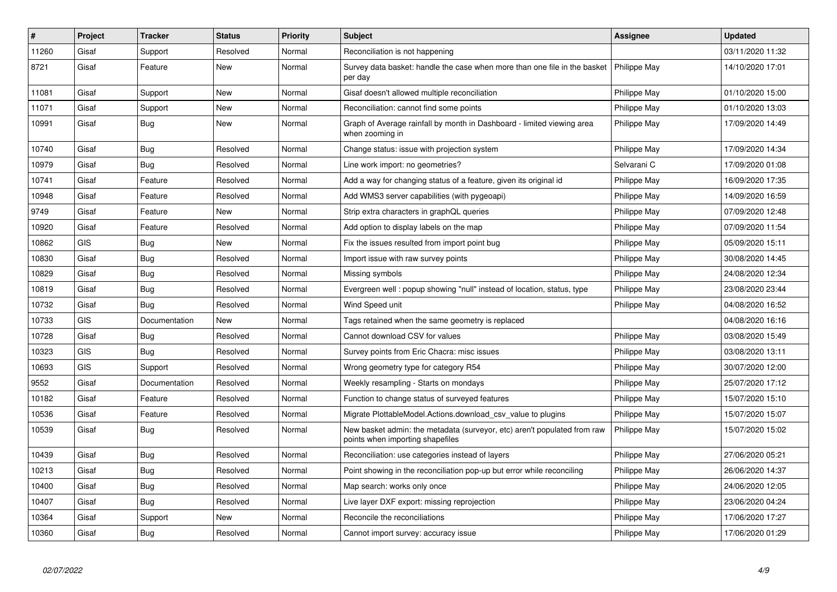| $\#$  | Project    | <b>Tracker</b> | <b>Status</b> | Priority | <b>Subject</b>                                                                                               | Assignee            | <b>Updated</b>   |
|-------|------------|----------------|---------------|----------|--------------------------------------------------------------------------------------------------------------|---------------------|------------------|
| 11260 | Gisaf      | Support        | Resolved      | Normal   | Reconciliation is not happening                                                                              |                     | 03/11/2020 11:32 |
| 8721  | Gisaf      | Feature        | <b>New</b>    | Normal   | Survey data basket: handle the case when more than one file in the basket<br>per day                         | Philippe May        | 14/10/2020 17:01 |
| 11081 | Gisaf      | Support        | New           | Normal   | Gisaf doesn't allowed multiple reconciliation                                                                | Philippe May        | 01/10/2020 15:00 |
| 11071 | Gisaf      | Support        | <b>New</b>    | Normal   | Reconciliation: cannot find some points                                                                      | Philippe May        | 01/10/2020 13:03 |
| 10991 | Gisaf      | Bug            | New           | Normal   | Graph of Average rainfall by month in Dashboard - limited viewing area<br>when zooming in                    | Philippe May        | 17/09/2020 14:49 |
| 10740 | Gisaf      | Bug            | Resolved      | Normal   | Change status: issue with projection system                                                                  | Philippe May        | 17/09/2020 14:34 |
| 10979 | Gisaf      | <b>Bug</b>     | Resolved      | Normal   | Line work import: no geometries?                                                                             | Selvarani C         | 17/09/2020 01:08 |
| 10741 | Gisaf      | Feature        | Resolved      | Normal   | Add a way for changing status of a feature, given its original id                                            | Philippe May        | 16/09/2020 17:35 |
| 10948 | Gisaf      | Feature        | Resolved      | Normal   | Add WMS3 server capabilities (with pygeoapi)                                                                 | Philippe May        | 14/09/2020 16:59 |
| 9749  | Gisaf      | Feature        | <b>New</b>    | Normal   | Strip extra characters in graphQL queries                                                                    | Philippe May        | 07/09/2020 12:48 |
| 10920 | Gisaf      | Feature        | Resolved      | Normal   | Add option to display labels on the map                                                                      | Philippe May        | 07/09/2020 11:54 |
| 10862 | <b>GIS</b> | Bug            | New           | Normal   | Fix the issues resulted from import point bug                                                                | Philippe May        | 05/09/2020 15:11 |
| 10830 | Gisaf      | Bug            | Resolved      | Normal   | Import issue with raw survey points                                                                          | Philippe May        | 30/08/2020 14:45 |
| 10829 | Gisaf      | <b>Bug</b>     | Resolved      | Normal   | Missing symbols                                                                                              | Philippe May        | 24/08/2020 12:34 |
| 10819 | Gisaf      | <b>Bug</b>     | Resolved      | Normal   | Evergreen well: popup showing "null" instead of location, status, type                                       | Philippe May        | 23/08/2020 23:44 |
| 10732 | Gisaf      | Bug            | Resolved      | Normal   | Wind Speed unit                                                                                              | Philippe May        | 04/08/2020 16:52 |
| 10733 | <b>GIS</b> | Documentation  | New           | Normal   | Tags retained when the same geometry is replaced                                                             |                     | 04/08/2020 16:16 |
| 10728 | Gisaf      | <b>Bug</b>     | Resolved      | Normal   | Cannot download CSV for values                                                                               | Philippe May        | 03/08/2020 15:49 |
| 10323 | <b>GIS</b> | Bug            | Resolved      | Normal   | Survey points from Eric Chacra: misc issues                                                                  | Philippe May        | 03/08/2020 13:11 |
| 10693 | <b>GIS</b> | Support        | Resolved      | Normal   | Wrong geometry type for category R54                                                                         | Philippe May        | 30/07/2020 12:00 |
| 9552  | Gisaf      | Documentation  | Resolved      | Normal   | Weekly resampling - Starts on mondays                                                                        | Philippe May        | 25/07/2020 17:12 |
| 10182 | Gisaf      | Feature        | Resolved      | Normal   | Function to change status of surveyed features                                                               | Philippe May        | 15/07/2020 15:10 |
| 10536 | Gisaf      | Feature        | Resolved      | Normal   | Migrate PlottableModel.Actions.download csv value to plugins                                                 | Philippe May        | 15/07/2020 15:07 |
| 10539 | Gisaf      | Bug            | Resolved      | Normal   | New basket admin: the metadata (surveyor, etc) aren't populated from raw<br>points when importing shapefiles | <b>Philippe May</b> | 15/07/2020 15:02 |
| 10439 | Gisaf      | Bug            | Resolved      | Normal   | Reconciliation: use categories instead of layers                                                             | Philippe May        | 27/06/2020 05:21 |
| 10213 | Gisaf      | <b>Bug</b>     | Resolved      | Normal   | Point showing in the reconciliation pop-up but error while reconciling                                       | Philippe May        | 26/06/2020 14:37 |
| 10400 | Gisaf      | Bug            | Resolved      | Normal   | Map search: works only once                                                                                  | <b>Philippe May</b> | 24/06/2020 12:05 |
| 10407 | Gisaf      | Bug            | Resolved      | Normal   | Live layer DXF export: missing reprojection                                                                  | Philippe May        | 23/06/2020 04:24 |
| 10364 | Gisaf      | Support        | <b>New</b>    | Normal   | Reconcile the reconciliations                                                                                | Philippe May        | 17/06/2020 17:27 |
| 10360 | Gisaf      | Bug            | Resolved      | Normal   | Cannot import survey: accuracy issue                                                                         | Philippe May        | 17/06/2020 01:29 |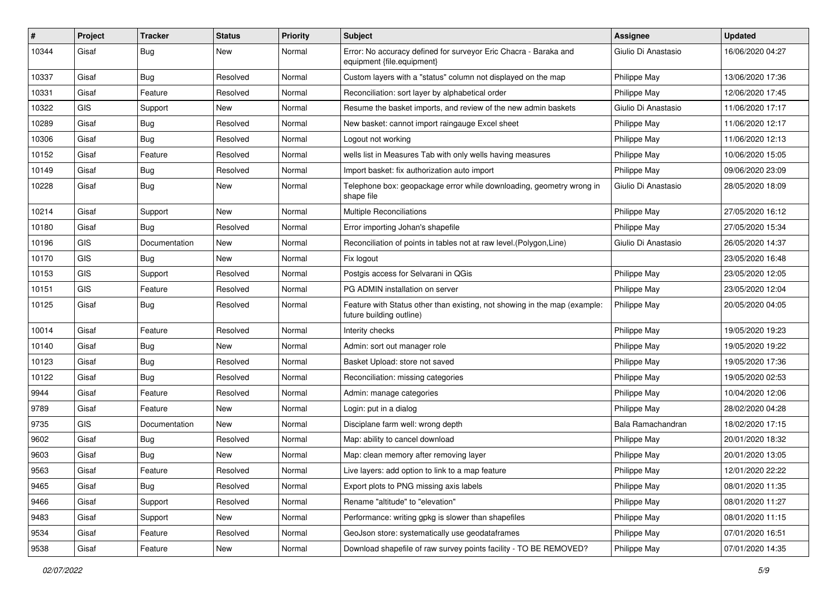| #     | Project    | <b>Tracker</b> | <b>Status</b> | <b>Priority</b> | Subject                                                                                               | Assignee            | <b>Updated</b>   |
|-------|------------|----------------|---------------|-----------------|-------------------------------------------------------------------------------------------------------|---------------------|------------------|
| 10344 | Gisaf      | Bug            | New           | Normal          | Error: No accuracy defined for surveyor Eric Chacra - Baraka and<br>equipment {file.equipment}        | Giulio Di Anastasio | 16/06/2020 04:27 |
| 10337 | Gisaf      | Bug            | Resolved      | Normal          | Custom layers with a "status" column not displayed on the map                                         | Philippe May        | 13/06/2020 17:36 |
| 10331 | Gisaf      | Feature        | Resolved      | Normal          | Reconciliation: sort layer by alphabetical order                                                      | Philippe May        | 12/06/2020 17:45 |
| 10322 | <b>GIS</b> | Support        | New           | Normal          | Resume the basket imports, and review of the new admin baskets                                        | Giulio Di Anastasio | 11/06/2020 17:17 |
| 10289 | Gisaf      | <b>Bug</b>     | Resolved      | Normal          | New basket: cannot import raingauge Excel sheet                                                       | Philippe May        | 11/06/2020 12:17 |
| 10306 | Gisaf      | <b>Bug</b>     | Resolved      | Normal          | Logout not working                                                                                    | Philippe May        | 11/06/2020 12:13 |
| 10152 | Gisaf      | Feature        | Resolved      | Normal          | wells list in Measures Tab with only wells having measures                                            | Philippe May        | 10/06/2020 15:05 |
| 10149 | Gisaf      | <b>Bug</b>     | Resolved      | Normal          | Import basket: fix authorization auto import                                                          | Philippe May        | 09/06/2020 23:09 |
| 10228 | Gisaf      | Bug            | New           | Normal          | Telephone box: geopackage error while downloading, geometry wrong in<br>shape file                    | Giulio Di Anastasio | 28/05/2020 18:09 |
| 10214 | Gisaf      | Support        | New           | Normal          | <b>Multiple Reconciliations</b>                                                                       | Philippe May        | 27/05/2020 16:12 |
| 10180 | Gisaf      | <b>Bug</b>     | Resolved      | Normal          | Error importing Johan's shapefile                                                                     | Philippe May        | 27/05/2020 15:34 |
| 10196 | GIS        | Documentation  | New           | Normal          | Reconciliation of points in tables not at raw level. (Polygon, Line)                                  | Giulio Di Anastasio | 26/05/2020 14:37 |
| 10170 | <b>GIS</b> | Bug            | <b>New</b>    | Normal          | Fix logout                                                                                            |                     | 23/05/2020 16:48 |
| 10153 | <b>GIS</b> | Support        | Resolved      | Normal          | Postgis access for Selvarani in QGis                                                                  | Philippe May        | 23/05/2020 12:05 |
| 10151 | GIS        | Feature        | Resolved      | Normal          | PG ADMIN installation on server                                                                       | Philippe May        | 23/05/2020 12:04 |
| 10125 | Gisaf      | Bug            | Resolved      | Normal          | Feature with Status other than existing, not showing in the map (example:<br>future building outline) | Philippe May        | 20/05/2020 04:05 |
| 10014 | Gisaf      | Feature        | Resolved      | Normal          | Interity checks                                                                                       | Philippe May        | 19/05/2020 19:23 |
| 10140 | Gisaf      | Bug            | New           | Normal          | Admin: sort out manager role                                                                          | Philippe May        | 19/05/2020 19:22 |
| 10123 | Gisaf      | Bug            | Resolved      | Normal          | Basket Upload: store not saved                                                                        | Philippe May        | 19/05/2020 17:36 |
| 10122 | Gisaf      | <b>Bug</b>     | Resolved      | Normal          | Reconciliation: missing categories                                                                    | Philippe May        | 19/05/2020 02:53 |
| 9944  | Gisaf      | Feature        | Resolved      | Normal          | Admin: manage categories                                                                              | Philippe May        | 10/04/2020 12:06 |
| 9789  | Gisaf      | Feature        | New           | Normal          | Login: put in a dialog                                                                                | Philippe May        | 28/02/2020 04:28 |
| 9735  | GIS        | Documentation  | <b>New</b>    | Normal          | Disciplane farm well: wrong depth                                                                     | Bala Ramachandran   | 18/02/2020 17:15 |
| 9602  | Gisaf      | Bug            | Resolved      | Normal          | Map: ability to cancel download                                                                       | Philippe May        | 20/01/2020 18:32 |
| 9603  | Gisaf      | Bug            | New           | Normal          | Map: clean memory after removing layer                                                                | Philippe May        | 20/01/2020 13:05 |
| 9563  | Gisaf      | Feature        | Resolved      | Normal          | Live layers: add option to link to a map feature                                                      | Philippe May        | 12/01/2020 22:22 |
| 9465  | Gisaf      | Bug            | Resolved      | Normal          | Export plots to PNG missing axis labels                                                               | Philippe May        | 08/01/2020 11:35 |
| 9466  | Gisaf      | Support        | Resolved      | Normal          | Rename "altitude" to "elevation"                                                                      | Philippe May        | 08/01/2020 11:27 |
| 9483  | Gisaf      | Support        | New           | Normal          | Performance: writing gpkg is slower than shapefiles                                                   | Philippe May        | 08/01/2020 11:15 |
| 9534  | Gisaf      | Feature        | Resolved      | Normal          | GeoJson store: systematically use geodataframes                                                       | Philippe May        | 07/01/2020 16:51 |
| 9538  | Gisaf      | Feature        | New           | Normal          | Download shapefile of raw survey points facility - TO BE REMOVED?                                     | Philippe May        | 07/01/2020 14:35 |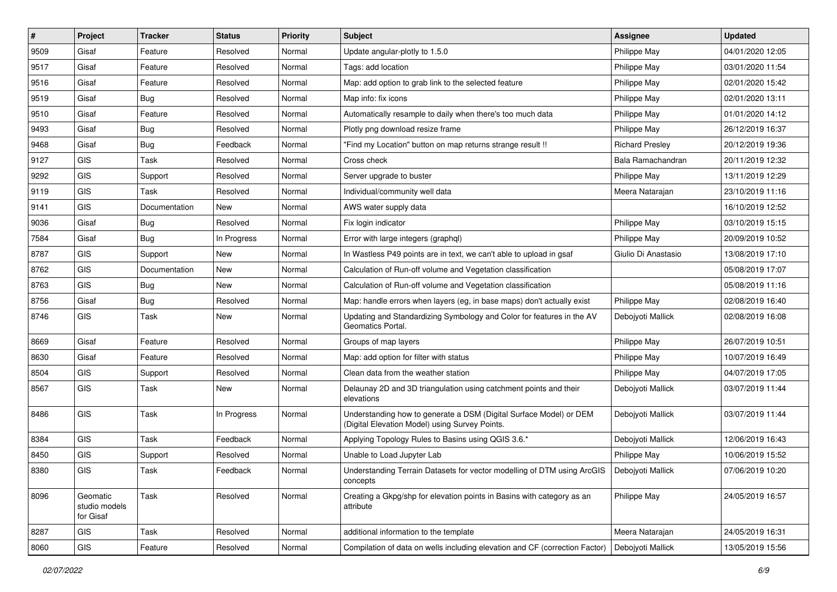| #    | Project                                | <b>Tracker</b> | <b>Status</b> | <b>Priority</b> | Subject                                                                                                              | Assignee               | <b>Updated</b>   |
|------|----------------------------------------|----------------|---------------|-----------------|----------------------------------------------------------------------------------------------------------------------|------------------------|------------------|
| 9509 | Gisaf                                  | Feature        | Resolved      | Normal          | Update angular-plotly to 1.5.0                                                                                       | Philippe May           | 04/01/2020 12:05 |
| 9517 | Gisaf                                  | Feature        | Resolved      | Normal          | Tags: add location                                                                                                   | Philippe May           | 03/01/2020 11:54 |
| 9516 | Gisaf                                  | Feature        | Resolved      | Normal          | Map: add option to grab link to the selected feature                                                                 | Philippe May           | 02/01/2020 15:42 |
| 9519 | Gisaf                                  | Bug            | Resolved      | Normal          | Map info: fix icons                                                                                                  | Philippe May           | 02/01/2020 13:11 |
| 9510 | Gisaf                                  | Feature        | Resolved      | Normal          | Automatically resample to daily when there's too much data                                                           | Philippe May           | 01/01/2020 14:12 |
| 9493 | Gisaf                                  | <b>Bug</b>     | Resolved      | Normal          | Plotly png download resize frame                                                                                     | Philippe May           | 26/12/2019 16:37 |
| 9468 | Gisaf                                  | Bug            | Feedback      | Normal          | "Find my Location" button on map returns strange result !!                                                           | <b>Richard Preslev</b> | 20/12/2019 19:36 |
| 9127 | GIS                                    | Task           | Resolved      | Normal          | Cross check                                                                                                          | Bala Ramachandran      | 20/11/2019 12:32 |
| 9292 | GIS                                    | Support        | Resolved      | Normal          | Server upgrade to buster                                                                                             | Philippe May           | 13/11/2019 12:29 |
| 9119 | GIS                                    | Task           | Resolved      | Normal          | Individual/community well data                                                                                       | Meera Natarajan        | 23/10/2019 11:16 |
| 9141 | GIS                                    | Documentation  | <b>New</b>    | Normal          | AWS water supply data                                                                                                |                        | 16/10/2019 12:52 |
| 9036 | Gisaf                                  | <b>Bug</b>     | Resolved      | Normal          | Fix login indicator                                                                                                  | Philippe May           | 03/10/2019 15:15 |
| 7584 | Gisaf                                  | Bug            | In Progress   | Normal          | Error with large integers (graphgl)                                                                                  | Philippe May           | 20/09/2019 10:52 |
| 8787 | GIS                                    | Support        | New           | Normal          | In Wastless P49 points are in text, we can't able to upload in gsaf                                                  | Giulio Di Anastasio    | 13/08/2019 17:10 |
| 8762 | GIS                                    | Documentation  | New           | Normal          | Calculation of Run-off volume and Vegetation classification                                                          |                        | 05/08/2019 17:07 |
| 8763 | <b>GIS</b>                             | Bug            | New           | Normal          | Calculation of Run-off volume and Vegetation classification                                                          |                        | 05/08/2019 11:16 |
| 8756 | Gisaf                                  | <b>Bug</b>     | Resolved      | Normal          | Map: handle errors when layers (eg, in base maps) don't actually exist                                               | Philippe May           | 02/08/2019 16:40 |
| 8746 | GIS                                    | Task           | New           | Normal          | Updating and Standardizing Symbology and Color for features in the AV<br>Geomatics Portal.                           | Debojyoti Mallick      | 02/08/2019 16:08 |
| 8669 | Gisaf                                  | Feature        | Resolved      | Normal          | Groups of map layers                                                                                                 | Philippe May           | 26/07/2019 10:51 |
| 8630 | Gisaf                                  | Feature        | Resolved      | Normal          | Map: add option for filter with status                                                                               | <b>Philippe May</b>    | 10/07/2019 16:49 |
| 8504 | GIS                                    | Support        | Resolved      | Normal          | Clean data from the weather station                                                                                  | Philippe May           | 04/07/2019 17:05 |
| 8567 | <b>GIS</b>                             | Task           | New           | Normal          | Delaunay 2D and 3D triangulation using catchment points and their<br>elevations                                      | Debojyoti Mallick      | 03/07/2019 11:44 |
| 8486 | GIS                                    | Task           | In Progress   | Normal          | Understanding how to generate a DSM (Digital Surface Model) or DEM<br>(Digital Elevation Model) using Survey Points. | Debojyoti Mallick      | 03/07/2019 11:44 |
| 8384 | <b>GIS</b>                             | Task           | Feedback      | Normal          | Applying Topology Rules to Basins using QGIS 3.6.*                                                                   | Debojyoti Mallick      | 12/06/2019 16:43 |
| 8450 | <b>GIS</b>                             | Support        | Resolved      | Normal          | Unable to Load Jupyter Lab                                                                                           | Philippe May           | 10/06/2019 15:52 |
| 8380 | GIS                                    | Task           | Feedback      | Normal          | Understanding Terrain Datasets for vector modelling of DTM using ArcGIS<br>concepts                                  | Debojyoti Mallick      | 07/06/2019 10:20 |
| 8096 | Geomatic<br>studio models<br>for Gisaf | Task           | Resolved      | Normal          | Creating a Gkpg/shp for elevation points in Basins with category as an<br>attribute                                  | Philippe May           | 24/05/2019 16:57 |
| 8287 | GIS                                    | Task           | Resolved      | Normal          | additional information to the template                                                                               | Meera Natarajan        | 24/05/2019 16:31 |
| 8060 | GIS                                    | Feature        | Resolved      | Normal          | Compilation of data on wells including elevation and CF (correction Factor)                                          | Debojyoti Mallick      | 13/05/2019 15:56 |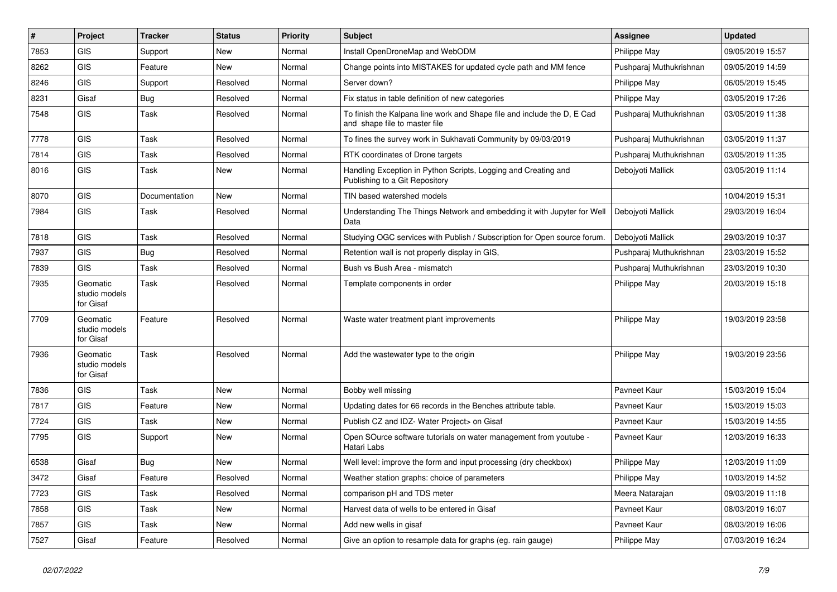| $\pmb{\#}$ | Project                                | <b>Tracker</b> | <b>Status</b> | <b>Priority</b> | <b>Subject</b>                                                                                           | Assignee                | <b>Updated</b>   |
|------------|----------------------------------------|----------------|---------------|-----------------|----------------------------------------------------------------------------------------------------------|-------------------------|------------------|
| 7853       | GIS                                    | Support        | <b>New</b>    | Normal          | Install OpenDroneMap and WebODM                                                                          | Philippe May            | 09/05/2019 15:57 |
| 8262       | <b>GIS</b>                             | Feature        | <b>New</b>    | Normal          | Change points into MISTAKES for updated cycle path and MM fence                                          | Pushparaj Muthukrishnan | 09/05/2019 14:59 |
| 8246       | GIS                                    | Support        | Resolved      | Normal          | Server down?                                                                                             | Philippe May            | 06/05/2019 15:45 |
| 8231       | Gisaf                                  | Bug            | Resolved      | Normal          | Fix status in table definition of new categories                                                         | Philippe May            | 03/05/2019 17:26 |
| 7548       | <b>GIS</b>                             | Task           | Resolved      | Normal          | To finish the Kalpana line work and Shape file and include the D, E Cad<br>and shape file to master file | Pushparaj Muthukrishnan | 03/05/2019 11:38 |
| 7778       | <b>GIS</b>                             | Task           | Resolved      | Normal          | To fines the survey work in Sukhavati Community by 09/03/2019                                            | Pushparaj Muthukrishnan | 03/05/2019 11:37 |
| 7814       | <b>GIS</b>                             | Task           | Resolved      | Normal          | RTK coordinates of Drone targets                                                                         | Pushparaj Muthukrishnan | 03/05/2019 11:35 |
| 8016       | <b>GIS</b>                             | Task           | <b>New</b>    | Normal          | Handling Exception in Python Scripts, Logging and Creating and<br>Publishing to a Git Repository         | Debojyoti Mallick       | 03/05/2019 11:14 |
| 8070       | <b>GIS</b>                             | Documentation  | <b>New</b>    | Normal          | TIN based watershed models                                                                               |                         | 10/04/2019 15:31 |
| 7984       | <b>GIS</b>                             | Task           | Resolved      | Normal          | Understanding The Things Network and embedding it with Jupyter for Well<br>Data                          | Debojyoti Mallick       | 29/03/2019 16:04 |
| 7818       | <b>GIS</b>                             | Task           | Resolved      | Normal          | Studying OGC services with Publish / Subscription for Open source forum.                                 | Deboivoti Mallick       | 29/03/2019 10:37 |
| 7937       | <b>GIS</b>                             | <b>Bug</b>     | Resolved      | Normal          | Retention wall is not properly display in GIS,                                                           | Pushparaj Muthukrishnan | 23/03/2019 15:52 |
| 7839       | <b>GIS</b>                             | Task           | Resolved      | Normal          | Bush vs Bush Area - mismatch                                                                             | Pushparaj Muthukrishnan | 23/03/2019 10:30 |
| 7935       | Geomatic<br>studio models<br>for Gisaf | Task           | Resolved      | Normal          | Template components in order                                                                             | Philippe May            | 20/03/2019 15:18 |
| 7709       | Geomatic<br>studio models<br>for Gisaf | Feature        | Resolved      | Normal          | Waste water treatment plant improvements                                                                 | Philippe May            | 19/03/2019 23:58 |
| 7936       | Geomatic<br>studio models<br>for Gisaf | Task           | Resolved      | Normal          | Add the wastewater type to the origin                                                                    | Philippe May            | 19/03/2019 23:56 |
| 7836       | <b>GIS</b>                             | Task           | <b>New</b>    | Normal          | Bobby well missing                                                                                       | Pavneet Kaur            | 15/03/2019 15:04 |
| 7817       | <b>GIS</b>                             | Feature        | <b>New</b>    | Normal          | Updating dates for 66 records in the Benches attribute table.                                            | Pavneet Kaur            | 15/03/2019 15:03 |
| 7724       | <b>GIS</b>                             | Task           | <b>New</b>    | Normal          | Publish CZ and IDZ- Water Project> on Gisaf                                                              | Pavneet Kaur            | 15/03/2019 14:55 |
| 7795       | <b>GIS</b>                             | Support        | New           | Normal          | Open SOurce software tutorials on water management from youtube -<br>Hatari Labs                         | Pavneet Kaur            | 12/03/2019 16:33 |
| 6538       | Gisaf                                  | Bug            | <b>New</b>    | Normal          | Well level: improve the form and input processing (dry checkbox)                                         | Philippe May            | 12/03/2019 11:09 |
| 3472       | Gisaf                                  | Feature        | Resolved      | Normal          | Weather station graphs: choice of parameters                                                             | Philippe May            | 10/03/2019 14:52 |
| 7723       | <b>GIS</b>                             | Task           | Resolved      | Normal          | comparison pH and TDS meter                                                                              | Meera Natarajan         | 09/03/2019 11:18 |
| 7858       | <b>GIS</b>                             | Task           | New           | Normal          | Harvest data of wells to be entered in Gisaf                                                             | Pavneet Kaur            | 08/03/2019 16:07 |
| 7857       | <b>GIS</b>                             | Task           | <b>New</b>    | Normal          | Add new wells in gisaf                                                                                   | Pavneet Kaur            | 08/03/2019 16:06 |
| 7527       | Gisaf                                  | Feature        | Resolved      | Normal          | Give an option to resample data for graphs (eg. rain gauge)                                              | Philippe May            | 07/03/2019 16:24 |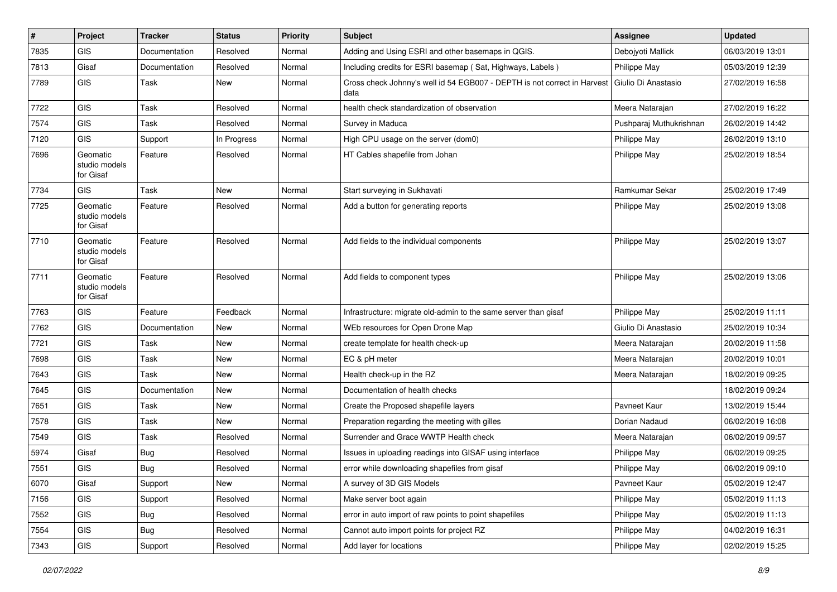| $\pmb{\#}$ | Project                                | <b>Tracker</b> | <b>Status</b> | <b>Priority</b> | <b>Subject</b>                                                                                         | <b>Assignee</b>         | <b>Updated</b>   |
|------------|----------------------------------------|----------------|---------------|-----------------|--------------------------------------------------------------------------------------------------------|-------------------------|------------------|
| 7835       | <b>GIS</b>                             | Documentation  | Resolved      | Normal          | Adding and Using ESRI and other basemaps in QGIS.                                                      | Debojyoti Mallick       | 06/03/2019 13:01 |
| 7813       | Gisaf                                  | Documentation  | Resolved      | Normal          | Including credits for ESRI basemap (Sat, Highways, Labels)                                             | Philippe May            | 05/03/2019 12:39 |
| 7789       | <b>GIS</b>                             | Task           | New           | Normal          | Cross check Johnny's well id 54 EGB007 - DEPTH is not correct in Harvest   Giulio Di Anastasio<br>data |                         | 27/02/2019 16:58 |
| 7722       | <b>GIS</b>                             | Task           | Resolved      | Normal          | health check standardization of observation                                                            | Meera Natarajan         | 27/02/2019 16:22 |
| 7574       | <b>GIS</b>                             | Task           | Resolved      | Normal          | Survey in Maduca                                                                                       | Pushparaj Muthukrishnan | 26/02/2019 14:42 |
| 7120       | <b>GIS</b>                             | Support        | In Progress   | Normal          | High CPU usage on the server (dom0)                                                                    | Philippe May            | 26/02/2019 13:10 |
| 7696       | Geomatic<br>studio models<br>for Gisaf | Feature        | Resolved      | Normal          | HT Cables shapefile from Johan                                                                         | Philippe May            | 25/02/2019 18:54 |
| 7734       | <b>GIS</b>                             | Task           | New           | Normal          | Start surveying in Sukhavati                                                                           | Ramkumar Sekar          | 25/02/2019 17:49 |
| 7725       | Geomatic<br>studio models<br>for Gisaf | Feature        | Resolved      | Normal          | Add a button for generating reports                                                                    | Philippe May            | 25/02/2019 13:08 |
| 7710       | Geomatic<br>studio models<br>for Gisaf | Feature        | Resolved      | Normal          | Add fields to the individual components                                                                | Philippe May            | 25/02/2019 13:07 |
| 7711       | Geomatic<br>studio models<br>for Gisaf | Feature        | Resolved      | Normal          | Add fields to component types                                                                          | Philippe May            | 25/02/2019 13:06 |
| 7763       | <b>GIS</b>                             | Feature        | Feedback      | Normal          | Infrastructure: migrate old-admin to the same server than gisaf                                        | Philippe May            | 25/02/2019 11:11 |
| 7762       | <b>GIS</b>                             | Documentation  | <b>New</b>    | Normal          | WEb resources for Open Drone Map                                                                       | Giulio Di Anastasio     | 25/02/2019 10:34 |
| 7721       | <b>GIS</b>                             | Task           | New           | Normal          | create template for health check-up                                                                    | Meera Natarajan         | 20/02/2019 11:58 |
| 7698       | <b>GIS</b>                             | Task           | <b>New</b>    | Normal          | EC & pH meter                                                                                          | Meera Natarajan         | 20/02/2019 10:01 |
| 7643       | <b>GIS</b>                             | Task           | New           | Normal          | Health check-up in the RZ                                                                              | Meera Natarajan         | 18/02/2019 09:25 |
| 7645       | <b>GIS</b>                             | Documentation  | New           | Normal          | Documentation of health checks                                                                         |                         | 18/02/2019 09:24 |
| 7651       | <b>GIS</b>                             | Task           | <b>New</b>    | Normal          | Create the Proposed shapefile layers                                                                   | Pavneet Kaur            | 13/02/2019 15:44 |
| 7578       | <b>GIS</b>                             | Task           | New           | Normal          | Preparation regarding the meeting with gilles                                                          | Dorian Nadaud           | 06/02/2019 16:08 |
| 7549       | <b>GIS</b>                             | Task           | Resolved      | Normal          | Surrender and Grace WWTP Health check                                                                  | Meera Natarajan         | 06/02/2019 09:57 |
| 5974       | Gisaf                                  | <b>Bug</b>     | Resolved      | Normal          | Issues in uploading readings into GISAF using interface                                                | Philippe May            | 06/02/2019 09:25 |
| 7551       | GIS                                    | <b>Bug</b>     | Resolved      | Normal          | error while downloading shapefiles from gisaf                                                          | Philippe May            | 06/02/2019 09:10 |
| 6070       | Gisaf                                  | Support        | New           | Normal          | A survey of 3D GIS Models                                                                              | Pavneet Kaur            | 05/02/2019 12:47 |
| 7156       | GIS                                    | Support        | Resolved      | Normal          | Make server boot again                                                                                 | Philippe May            | 05/02/2019 11:13 |
| 7552       | GIS                                    | <b>Bug</b>     | Resolved      | Normal          | error in auto import of raw points to point shapefiles                                                 | Philippe May            | 05/02/2019 11:13 |
| 7554       | GIS                                    | <b>Bug</b>     | Resolved      | Normal          | Cannot auto import points for project RZ                                                               | Philippe May            | 04/02/2019 16:31 |
| 7343       | GIS                                    | Support        | Resolved      | Normal          | Add layer for locations                                                                                | Philippe May            | 02/02/2019 15:25 |